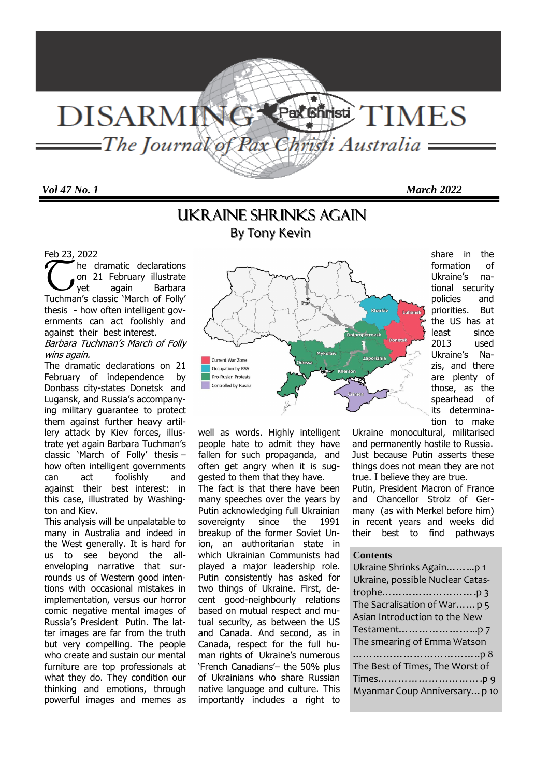# Par<sup>ent</sup>isti **DISARMING** TIMES ——The Journal of Pax Christi Australia —

*Vol 47 No. 1 March 2022* 

# Ukraine shrinks again By Tony Kevin

### Feb 23, 2022

 $\widetilde{\mathbb{C}}$ he dramatic declarations on 21 February illustrate yet again Barbara Tuchman's classic 'March of Folly' thesis - how often intelligent governments can act foolishly and against their best interest.

### Barbara Tuchman's March of Folly wins again.

The dramatic declarations on 21 February of independence by Donbass city-states Donetsk and Lugansk, and Russia's accompanying military guarantee to protect them against further heavy artillery attack by Kiev forces, illustrate yet again Barbara Tuchman's classic 'March of Folly' thesis – how often intelligent governments can act foolishly and against their best interest: in this case, illustrated by Washington and Kiev.

This analysis will be unpalatable to many in Australia and indeed in the West generally. It is hard for us to see beyond the allenveloping narrative that surrounds us of Western good intentions with occasional mistakes in implementation, versus our horror comic negative mental images of Russia's President Putin. The latter images are far from the truth but very compelling. The people who create and sustain our mental furniture are top professionals at what they do. They condition our thinking and emotions, through powerful images and memes as



well as words. Highly intelligent people hate to admit they have fallen for such propaganda, and often get angry when it is suggested to them that they have. The fact is that there have been many speeches over the years by Putin acknowledging full Ukrainian sovereignty since the 1991 breakup of the former Soviet Union, an authoritarian state in which Ukrainian Communists had played a major leadership role. Putin consistently has asked for two things of Ukraine. First, decent good-neighbourly relations based on mutual respect and mutual security, as between the US and Canada. And second, as in Canada, respect for the full human rights of Ukraine's numerous 'French Canadians'– the 50% plus of Ukrainians who share Russian native language and culture. This importantly includes a right to

share in the formation of Ukraine's national security policies and priorities. But the US has at least since 2013 used Ukraine's Nazis, and there are plenty of those, as the spearhead of its determination to make

Ukraine monocultural, militarised and permanently hostile to Russia. Just because Putin asserts these things does not mean they are not true. I believe they are true.

Putin, President Macron of France and Chancellor Strolz of Germany (as with Merkel before him) in recent years and weeks did their best to find pathways

### **Contents**

| Ukraine Shrinks Againp 1         |
|----------------------------------|
| Ukraine, possible Nuclear Catas- |
|                                  |
| The Sacralisation of War p 5     |
| Asian Introduction to the New    |
|                                  |
| The smearing of Emma Watson      |
|                                  |
| The Best of Times, The Worst of  |
|                                  |
| Myanmar Coup Anniversary p 10    |
|                                  |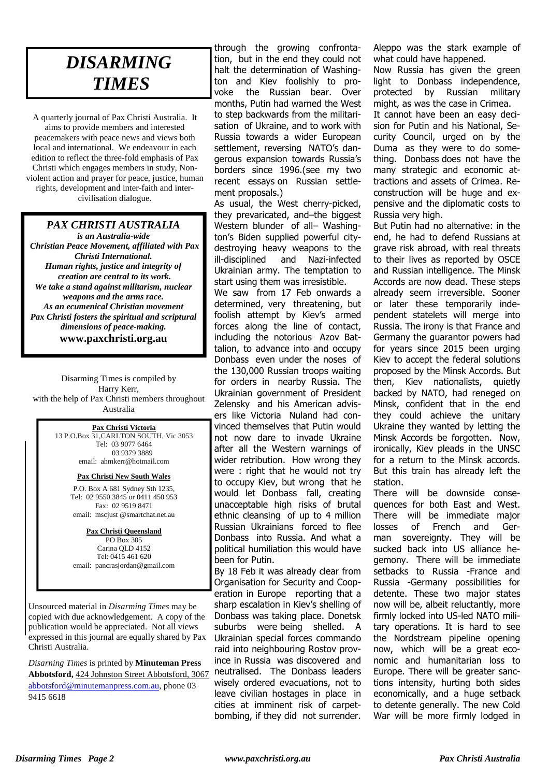# *DISARMING TIMES*

A quarterly journal of Pax Christi Australia. It aims to provide members and interested peacemakers with peace news and views both local and international. We endeavour in each edition to reflect the three-fold emphasis of Pax Christi which engages members in study, Nonviolent action and prayer for peace, justice, human rights, development and inter-faith and intercivilisation dialogue.

## *PAX CHRISTI AUSTRALIA*

*is an Australia-wide Christian Peace Movement, affiliated with Pax Christi International. Human rights, justice and integrity of creation are central to its work. We take a stand against militarism, nuclear weapons and the arms race. As an ecumenical Christian movement Pax Christi fosters the spiritual and scriptural dimensions of peace-making.*  **www.paxchristi.org.au** 

Disarming Times is compiled by Harry Kerr, with the help of Pax Christi members throughout Australia

#### **Pax Christi Victoria**

**INFORMATION ABOUT JOINING PAX**  03 9379 3889 **CHRISTI**  13 P.O.Box 31,CARLTON SOUTH, Vic 3053 Tel: 03 9077 6464 email: ahmkerr@hotmail.com

# **Pax Christi New South Wales**

P.O. Box A 681 Sydney Sth 1235, Tel: 02 9550 3845 or 0411 450 953 • Fax: 02 9519 8471<br>
email: mscjust @smartchat.net.au Fax: 02 9519 8471

> **Pax Christi Queensland** PO Box 305 Carina QLD 4152 Tel: 0415 461 620 email: pancrasjordan@gmail.com

Unsourced material in *Disarming Times* may be copied with due acknowledgement. A copy of the publication would be appreciated. Not all views expressed in this journal are equally shared by Pax Christi Australia.

*Disarning Times* is printed by **Minuteman Press Abbotsford,** 424 Johnston Street Abbotsford, 3067 abbotsford@minutemanpress.com.au, phone 03 9415 6618

through the growing confrontation, but in the end they could not halt the determination of Washington and Kiev foolishly to provoke the Russian bear. Over months, Putin had warned the West to step backwards from the militarisation of Ukraine, and to work with Russia towards a wider European settlement, reversing NATO's dangerous expansion towards Russia's borders since 1996.(see my two recent essays on Russian settlement proposals.)

As usual, the West cherry-picked, they prevaricated, and–the biggest Western blunder of all- Washington's Biden supplied powerful citydestroying heavy weapons to the ill-disciplined and Nazi-infected Ukrainian army. The temptation to start using them was irresistible.

We saw from 17 Feb onwards a determined, very threatening, but foolish attempt by Kiev's armed forces along the line of contact, including the notorious Azov Battalion, to advance into and occupy Donbass even under the noses of the 130,000 Russian troops waiting for orders in nearby Russia. The Ukrainian government of President Zelensky and his American advisers like Victoria Nuland had convinced themselves that Putin would not now dare to invade Ukraine after all the Western warnings of wider retribution. How wrong they were : right that he would not try to occupy Kiev, but wrong that he would let Donbass fall, creating unacceptable high risks of brutal ethnic cleansing of up to 4 million Russian Ukrainians forced to flee Donbass into Russia. And what a political humiliation this would have been for Putin.

By 18 Feb it was already clear from Organisation for Security and Cooperation in Europe reporting that a sharp escalation in Kiev's shelling of Donbass was taking place. Donetsk suburbs were being shelled. A Ukrainian special forces commando raid into neighbouring Rostov province in Russia was discovered and neutralised. The Donbass leaders wisely ordered evacuations, not to leave civilian hostages in place in cities at imminent risk of carpetbombing, if they did not surrender. Aleppo was the stark example of what could have happened.

Now Russia has given the green light to Donbass independence, protected by Russian military might, as was the case in Crimea. It cannot have been an easy decision for Putin and his National, Security Council, urged on by the Duma as they were to do something. Donbass does not have the many strategic and economic attractions and assets of Crimea. Reconstruction will be huge and expensive and the diplomatic costs to Russia very high.

But Putin had no alternative: in the end, he had to defend Russians at grave risk abroad, with real threats to their lives as reported by OSCE and Russian intelligence. The Minsk Accords are now dead. These steps already seem irreversible. Sooner or later these temporarily independent statelets will merge into Russia. The irony is that France and Germany the guarantor powers had for years since 2015 been urging Kiev to accept the federal solutions proposed by the Minsk Accords. But then, Kiev nationalists, quietly backed by NATO, had reneged on Minsk, confident that in the end they could achieve the unitary Ukraine they wanted by letting the Minsk Accords be forgotten. Now, ironically, Kiev pleads in the UNSC for a return to the Minsk accords. But this train has already left the station.

There will be downside consequences for both East and West. There will be immediate major losses of French and German sovereignty. They will be sucked back into US alliance hegemony. There will be immediate setbacks to Russia -France and Russia -Germany possibilities for detente. These two major states now will be, albeit reluctantly, more firmly locked into US-led NATO military operations. It is hard to see the Nordstream pipeline opening now, which will be a great economic and humanitarian loss to Europe. There will be greater sanctions intensity, hurting both sides economically, and a huge setback to detente generally. The new Cold War will be more firmly lodged in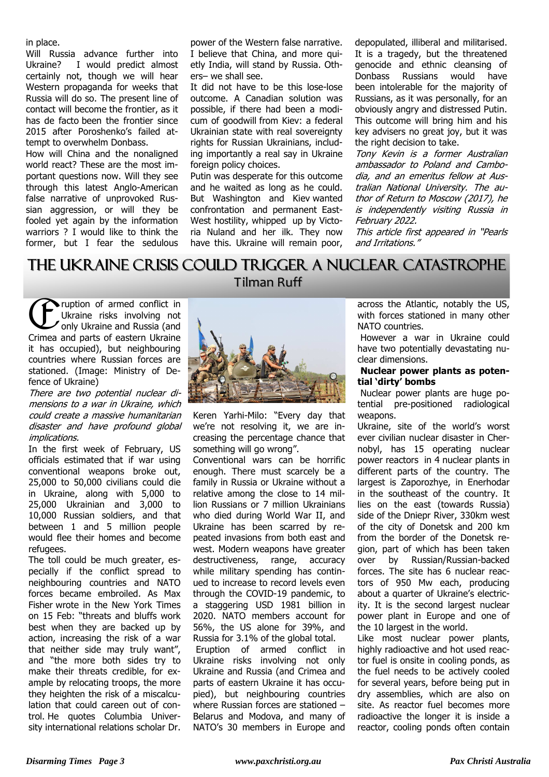in place.

Will Russia advance further into Ukraine? I would predict almost certainly not, though we will hear Western propaganda for weeks that Russia will do so. The present line of contact will become the frontier, as it has de facto been the frontier since 2015 after Poroshenko's failed attempt to overwhelm Donbass.

How will China and the nonaligned world react? These are the most important questions now. Will they see through this latest Anglo-American false narrative of unprovoked Russian aggression, or will they be fooled yet again by the information warriors ? I would like to think the former, but I fear the sedulous power of the Western false narrative. I believe that China, and more quietly India, will stand by Russia. Others– we shall see.

It did not have to be this lose-lose outcome. A Canadian solution was possible, if there had been a modicum of goodwill from Kiev: a federal Ukrainian state with real sovereignty rights for Russian Ukrainians, including importantly a real say in Ukraine foreign policy choices.

Putin was desperate for this outcome and he waited as long as he could. But Washington and Kiev wanted confrontation and permanent East-West hostility, whipped up by Victoria Nuland and her ilk. They now have this. Ukraine will remain poor, depopulated, illiberal and militarised. It is a tragedy, but the threatened genocide and ethnic cleansing of Donbass Russians would have been intolerable for the majority of Russians, as it was personally, for an obviously angry and distressed Putin. This outcome will bring him and his key advisers no great joy, but it was the right decision to take.

Tony Kevin is a former Australian ambassador to Poland and Cambodia, and an emeritus fellow at Australian National University. The author of Return to Moscow (2017), he is independently visiting Russia in February 2022.

This article first appeared in "Pearls and Irritations."

# The Ukraine crisis could trigger a nuclear catastrophe

**Tilman Ruff** 

 $\bigoplus$ ruption of armed conflict in Ukraine risks involving not only Ukraine and Russia (and Crimea and parts of eastern Ukraine it has occupied), but neighbouring countries where Russian forces are stationed. (Image: Ministry of Defence of Ukraine)

There are two potential nuclear dimensions to a war in Ukraine, which could create a massive humanitarian disaster and have profound global implications.

In the first week of February, US officials estimated that if war using conventional weapons broke out, 25,000 to 50,000 civilians could die in Ukraine, along with 5,000 to 25,000 Ukrainian and 3,000 to 10,000 Russian soldiers, and that between 1 and 5 million people would flee their homes and become refugees.

The toll could be much greater, especially if the conflict spread to neighbouring countries and NATO forces became embroiled. As Max Fisher wrote in the New York Times on 15 Feb: "threats and bluffs work best when they are backed up by action, increasing the risk of a war that neither side may truly want", and "the more both sides try to make their threats credible, for example by relocating troops, the more they heighten the risk of a miscalculation that could careen out of control. He quotes Columbia University international relations scholar Dr.



Keren Yarhi-Milo: "Every day that we're not resolving it, we are increasing the percentage chance that something will go wrong".

Conventional wars can be horrific enough. There must scarcely be a family in Russia or Ukraine without a relative among the close to 14 million Russians or 7 million Ukrainians who died during World War II, and Ukraine has been scarred by repeated invasions from both east and west. Modern weapons have greater destructiveness, range, accuracy while military spending has continued to increase to record levels even through the COVID-19 pandemic, to a staggering USD 1981 billion in 2020. NATO members account for 56%, the US alone for 39%, and Russia for 3.1% of the global total.

 Eruption of armed conflict in Ukraine risks involving not only Ukraine and Russia (and Crimea and parts of eastern Ukraine it has occupied), but neighbouring countries where Russian forces are stationed – Belarus and Modova, and many of NATO's 30 members in Europe and across the Atlantic, notably the US, with forces stationed in many other NATO countries.

 However a war in Ukraine could have two potentially devastating nuclear dimensions.

### **Nuclear power plants as potential 'dirty' bombs**

 Nuclear power plants are huge potential pre-positioned radiological weapons.

Ukraine, site of the world's worst ever civilian nuclear disaster in Chernobyl, has 15 operating nuclear power reactors in 4 nuclear plants in different parts of the country. The largest is Zaporozhye, in Enerhodar in the southeast of the country. It lies on the east (towards Russia) side of the Dniepr River, 330km west of the city of Donetsk and 200 km from the border of the Donetsk region, part of which has been taken over by Russian/Russian-backed forces. The site has 6 nuclear reactors of 950 Mw each, producing about a quarter of Ukraine's electricity. It is the second largest nuclear power plant in Europe and one of the 10 largest in the world.

Like most nuclear power plants, highly radioactive and hot used reactor fuel is onsite in cooling ponds, as the fuel needs to be actively cooled for several years, before being put in dry assemblies, which are also on site. As reactor fuel becomes more radioactive the longer it is inside a reactor, cooling ponds often contain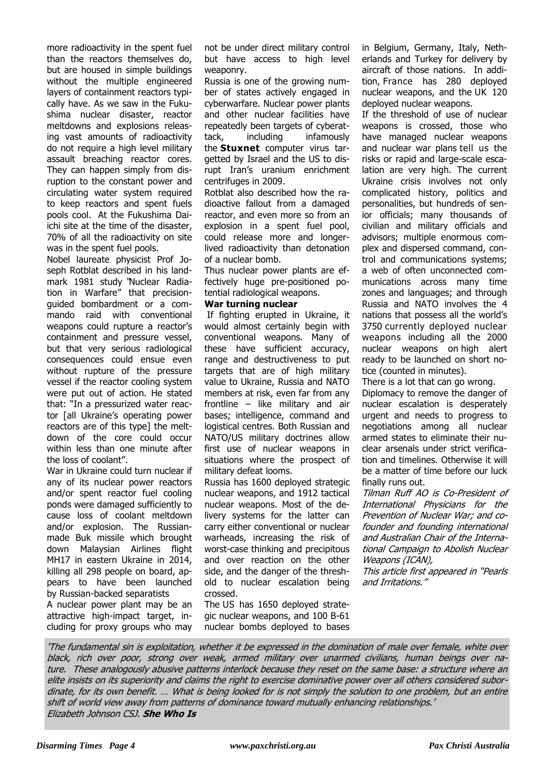more radioactivity in the spent fuel than the reactors themselves do, but are housed in simple buildings without the multiple engineered layers of containment reactors typically have. As we saw in the Fukushima nuclear disaster, reactor meltdowns and explosions releasing vast amounts of radioactivity do not require a high level military assault breaching reactor cores. They can happen simply from disruption to the constant power and circulating water system required to keep reactors and spent fuels pools cool. At the Fukushima Daiichi site at the time of the disaster, 70% of all the radioactivity on site was in the spent fuel pools.

Nobel laureate physicist Prof Joseph Rotblat described in his landmark 1981 study "Nuclear Radiation in Warfare" that precisionguided bombardment or a commando raid with conventional weapons could rupture a reactor's containment and pressure vessel, but that very serious radiological consequences could ensue even without rupture of the pressure vessel if the reactor cooling system were put out of action. He stated that: "In a pressurized water reactor [all Ukraine's operating power reactors are of this type] the meltdown of the core could occur within less than one minute after the loss of coolant".

War in Ukraine could turn nuclear if any of its nuclear power reactors and/or spent reactor fuel cooling ponds were damaged sufficiently to cause loss of coolant meltdown and/or explosion. The Russianmade Buk missile which brought down Malaysian Airlines flight MH17 in eastern Ukraine in 2014, killing all 298 people on board, appears to have been launched by Russian-backed separatists

A nuclear power plant may be an attractive high-impact target, including for proxy groups who may not be under direct military control but have access to high level weaponry.

Russia is one of the growing number of states actively engaged in cyberwarfare. Nuclear power plants and other nuclear facilities have repeatedly been targets of cyberattack, including infamously the **Stuxnet** computer virus targetted by Israel and the US to disrupt Iran's uranium enrichment centrifuges in 2009.

Rotblat also described how the radioactive fallout from a damaged reactor, and even more so from an explosion in a spent fuel pool, could release more and longerlived radioactivity than detonation of a nuclear bomb.

Thus nuclear power plants are effectively huge pre-positioned potential radiological weapons.

## **War turning nuclear**

If fighting erupted in Ukraine, it would almost certainly begin with conventional weapons. Many of these have sufficient accuracy, range and destructiveness to put targets that are of high military value to Ukraine, Russia and NATO members at risk, even far from any frontline – like military and air bases; intelligence, command and logistical centres. Both Russian and NATO/US military doctrines allow first use of nuclear weapons in situations where the prospect of military defeat looms.

Russia has 1600 deployed strategic nuclear weapons, and 1912 tactical nuclear weapons. Most of the delivery systems for the latter can carry either conventional or nuclear warheads, increasing the risk of worst-case thinking and precipitous and over reaction on the other side, and the danger of the threshold to nuclear escalation being crossed.

The US has 1650 deployed strategic nuclear weapons, and 100 B-61 nuclear bombs deployed to bases

in Belgium, Germany, Italy, Netherlands and Turkey for delivery by aircraft of those nations. In addition, France has 280 deployed nuclear weapons, and the UK 120 deployed nuclear weapons.

If the threshold of use of nuclear weapons is crossed, those who have managed nuclear weapons and nuclear war plans tell us the risks or rapid and large-scale escalation are very high. The current Ukraine crisis involves not only complicated history, politics and personalities, but hundreds of senior officials; many thousands of civilian and military officials and advisors; multiple enormous complex and dispersed command, control and communications systems; a web of often unconnected communications across many time zones and languages; and through Russia and NATO involves the 4 nations that possess all the world's 3750 currently deployed nuclear weapons including all the 2000 nuclear weapons on high alert ready to be launched on short notice (counted in minutes).

There is a lot that can go wrong. Diplomacy to remove the danger of nuclear escalation is desperately urgent and needs to progress to negotiations among all nuclear armed states to eliminate their nuclear arsenals under strict verification and timelines. Otherwise it will be a matter of time before our luck finally runs out.

Tilman Ruff AO is Co-President of International Physicians for the Prevention of Nuclear War; and cofounder and founding international and Australian Chair of the International Campaign to Abolish Nuclear Weapons (ICAN),

This article first appeared in "Pearls and Irritations."

'The fundamental sin is exploitation, whether it be expressed in the domination of male over female, white over black, rich over poor, strong over weak, armed military over unarmed civilians, human beings over nature. These analogously abusive patterns interlock because they reset on the same base: a structure where an elite insists on its superiority and claims the right to exercise dominative power over all others considered subordinate, for its own benefit. … What is being looked for is not simply the solution to one problem, but an entire shift of world view away from patterns of dominance toward mutually enhancing relationships.' Elizabeth Johnson CSJ. **She Who Is**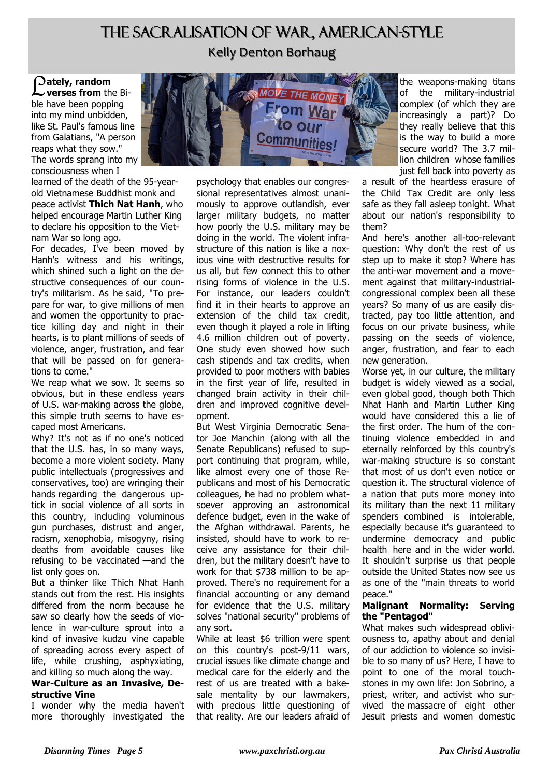# The Sacralisation of War, American-Style Kelly Denton Borhaug

L **ately, random verses from** the Bible have been popping into my mind unbidden, like St. Paul's famous line from Galatians, "A person reaps what they sow." The words sprang into my consciousness when I

learned of the death of the 95-yearold Vietnamese Buddhist monk and peace activist **Thich Nat Hanh**, who helped encourage Martin Luther King to declare his opposition to the Vietnam War so long ago.

For decades, I've been moved by Hanh's witness and his writings, which shined such a light on the destructive consequences of our country's militarism. As he said, "To prepare for war, to give millions of men and women the opportunity to practice killing day and night in their hearts, is to plant millions of seeds of violence, anger, frustration, and fear that will be passed on for generations to come."

We reap what we sow. It seems so obvious, but in these endless years of U.S. war-making across the globe, this simple truth seems to have escaped most Americans.

Why? It's not as if no one's noticed that the U.S. has, in so many ways, become a more violent society. Many public intellectuals (progressives and conservatives, too) are wringing their hands regarding the dangerous uptick in social violence of all sorts in this country, including voluminous gun purchases, distrust and anger, racism, xenophobia, misogyny, rising deaths from avoidable causes like refusing to be vaccinated —and the list only goes on.

But a thinker like Thich Nhat Hanh stands out from the rest. His insights differed from the norm because he saw so clearly how the seeds of violence in war-culture sprout into a kind of invasive kudzu vine capable of spreading across every aspect of life, while crushing, asphyxiating, and killing so much along the way.

### **War-Culture as an Invasive, Destructive Vine**

I wonder why the media haven't more thoroughly investigated the



psychology that enables our congressional representatives almost unanimously to approve outlandish, ever larger military budgets, no matter how poorly the U.S. military may be doing in the world. The violent infrastructure of this nation is like a noxious vine with destructive results for us all, but few connect this to other rising forms of violence in the U.S. For instance, our leaders couldn't find it in their hearts to approve an extension of the child tax credit, even though it played a role in lifting 4.6 million children out of poverty. One study even showed how such cash stipends and tax credits, when provided to poor mothers with babies in the first year of life, resulted in changed brain activity in their children and improved cognitive development.

But West Virginia Democratic Senator Joe Manchin (along with all the Senate Republicans) refused to support continuing that program, while, like almost every one of those Republicans and most of his Democratic colleagues, he had no problem whatsoever approving an astronomical defence budget, even in the wake of the Afghan withdrawal. Parents, he insisted, should have to work to receive any assistance for their children, but the military doesn't have to work for that \$738 million to be approved. There's no requirement for a financial accounting or any demand for evidence that the U.S. military solves "national security" problems of any sort.

While at least \$6 trillion were spent on this country's post-9/11 wars, crucial issues like climate change and medical care for the elderly and the rest of us are treated with a bakesale mentality by our lawmakers, with precious little questioning of that reality. Are our leaders afraid of

the weapons-making titans of the military-industrial complex (of which they are increasingly a part)? Do they really believe that this is the way to build a more secure world? The 3.7 million children whose families just fell back into poverty as

a result of the heartless erasure of the Child Tax Credit are only less safe as they fall asleep tonight. What about our nation's responsibility to them?

And here's another all-too-relevant question: Why don't the rest of us step up to make it stop? Where has the anti-war movement and a movement against that military-industrialcongressional complex been all these years? So many of us are easily distracted, pay too little attention, and focus on our private business, while passing on the seeds of violence, anger, frustration, and fear to each new generation.

Worse yet, in our culture, the military budget is widely viewed as a social, even global good, though both Thich Nhat Hanh and Martin Luther King would have considered this a lie of the first order. The hum of the continuing violence embedded in and eternally reinforced by this country's war-making structure is so constant that most of us don't even notice or question it. The structural violence of a nation that puts more money into its military than the next 11 military spenders combined is intolerable, especially because it's guaranteed to undermine democracy and public health here and in the wider world. It shouldn't surprise us that people outside the United States now see us as one of the "main threats to world peace."

## **Malignant Normality: Serving the "Pentagod"**

What makes such widespread obliviousness to, apathy about and denial of our addiction to violence so invisible to so many of us? Here, I have to point to one of the moral touchstones in my own life: Jon Sobrino, a priest, writer, and activist who survived the massacre of eight other Jesuit priests and women domestic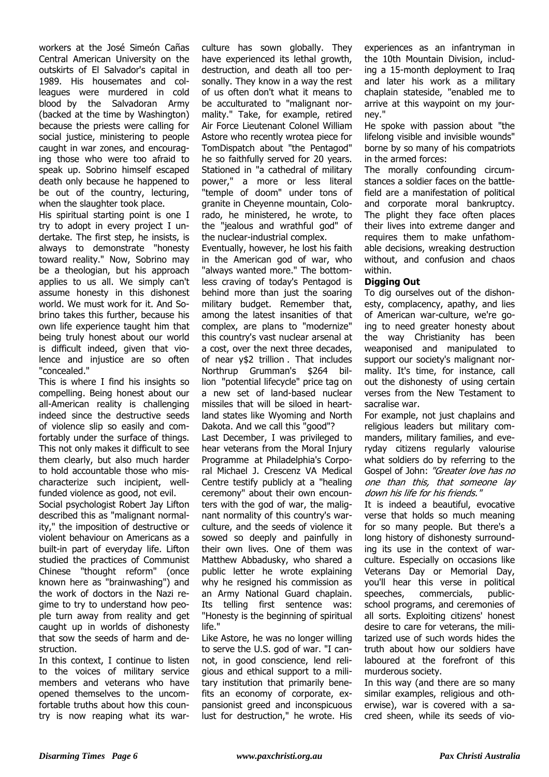workers at the José Simeón Cañas Central American University on the outskirts of El Salvador's capital in 1989. His housemates and colleagues were murdered in cold blood by the Salvadoran Army (backed at the time by Washington) because the priests were calling for social justice, ministering to people caught in war zones, and encouraging those who were too afraid to speak up. Sobrino himself escaped death only because he happened to be out of the country, lecturing, when the slaughter took place.

His spiritual starting point is one I try to adopt in every project I undertake. The first step, he insists, is always to demonstrate "honesty toward reality." Now, Sobrino may be a theologian, but his approach applies to us all. We simply can't assume honesty in this dishonest world. We must work for it. And Sobrino takes this further, because his own life experience taught him that being truly honest about our world is difficult indeed, given that violence and injustice are so often "concealed."

This is where I find his insights so compelling. Being honest about our all-American reality is challenging indeed since the destructive seeds of violence slip so easily and comfortably under the surface of things. This not only makes it difficult to see them clearly, but also much harder to hold accountable those who mischaracterize such incipient, wellfunded violence as good, not evil. Social psychologist Robert Jay Lifton described this as "malignant normal-

ity," the imposition of destructive or violent behaviour on Americans as a built-in part of everyday life. Lifton studied the practices of Communist Chinese "thought reform" (once known here as "brainwashing") and the work of doctors in the Nazi regime to try to understand how people turn away from reality and get caught up in worlds of dishonesty that sow the seeds of harm and destruction.

In this context, I continue to listen to the voices of military service members and veterans who have opened themselves to the uncomfortable truths about how this country is now reaping what its warculture has sown globally. They have experienced its lethal growth, destruction, and death all too personally. They know in a way the rest of us often don't what it means to be acculturated to "malignant normality." Take, for example, retired Air Force Lieutenant Colonel William Astore who recently wrotea piece for TomDispatch about "the Pentagod" he so faithfully served for 20 years. Stationed in "a cathedral of military power," a more or less literal "temple of doom" under tons of granite in Cheyenne mountain, Colorado, he ministered, he wrote, to the "jealous and wrathful god" of the nuclear-industrial complex.

Eventually, however, he lost his faith in the American god of war, who "always wanted more." The bottomless craving of today's Pentagod is behind more than just the soaring military budget. Remember that, among the latest insanities of that complex, are plans to "modernize" this country's vast nuclear arsenal at a cost, over the next three decades, of near y\$2 trillion . That includes Northrup Grumman's \$264 billion "potential lifecycle" price tag on a new set of land-based nuclear missiles that will be siloed in heartland states like Wyoming and North Dakota. And we call this "good"?

Last December, I was privileged to hear veterans from the Moral Injury Programme at Philadelphia's Corporal Michael J. Crescenz VA Medical Centre testify publicly at a "healing ceremony" about their own encounters with the god of war, the malignant normality of this country's warculture, and the seeds of violence it sowed so deeply and painfully in their own lives. One of them was Matthew Abbadusky, who shared a public letter he wrote explaining why he resigned his commission as an Army National Guard chaplain. Its telling first sentence was: "Honesty is the beginning of spiritual life."

Like Astore, he was no longer willing to serve the U.S. god of war. "I cannot, in good conscience, lend religious and ethical support to a military institution that primarily benefits an economy of corporate, expansionist greed and inconspicuous lust for destruction," he wrote. His

experiences as an infantryman in the 10th Mountain Division, including a 15-month deployment to Iraq and later his work as a military chaplain stateside, "enabled me to arrive at this waypoint on my journey."

He spoke with passion about "the lifelong visible and invisible wounds" borne by so many of his compatriots in the armed forces:

The morally confounding circumstances a soldier faces on the battlefield are a manifestation of political and corporate moral bankruptcy. The plight they face often places their lives into extreme danger and requires them to make unfathomable decisions, wreaking destruction without, and confusion and chaos within.

## **Digging Out**

To dig ourselves out of the dishonesty, complacency, apathy, and lies of American war-culture, we're going to need greater honesty about the way Christianity has been weaponised and manipulated to support our society's malignant normality. It's time, for instance, call out the dishonesty of using certain verses from the New Testament to sacralise war.

For example, not just chaplains and religious leaders but military commanders, military families, and everyday citizens regularly valourise what soldiers do by referring to the Gospel of John: "Greater love has no one than this, that someone lay down his life for his friends."

It is indeed a beautiful, evocative verse that holds so much meaning for so many people. But there's a long history of dishonesty surrounding its use in the context of warculture. Especially on occasions like Veterans Day or Memorial Day, you'll hear this verse in political speeches, commercials, publicschool programs, and ceremonies of all sorts. Exploiting citizens' honest desire to care for veterans, the militarized use of such words hides the truth about how our soldiers have laboured at the forefront of this murderous society.

In this way (and there are so many similar examples, religious and otherwise), war is covered with a sacred sheen, while its seeds of vio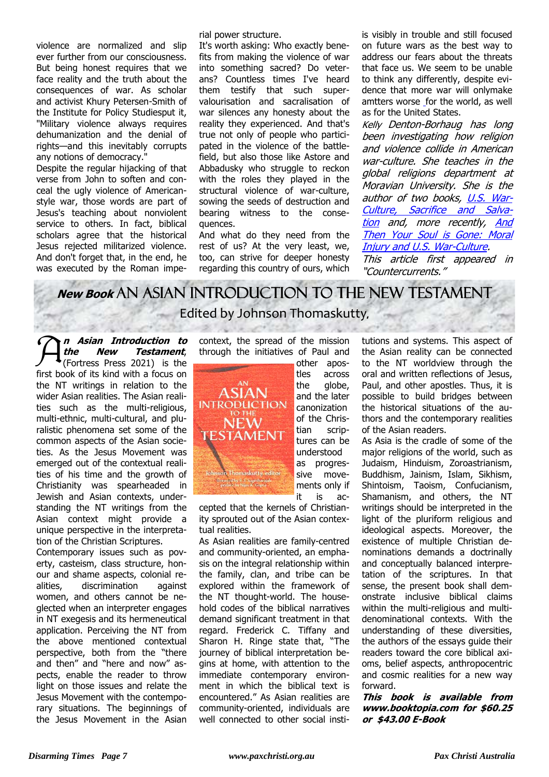violence are normalized and slip ever further from our consciousness. But being honest requires that we face reality and the truth about the consequences of war. As scholar and activist Khury Petersen-Smith of the Institute for Policy Studiesput it, "Military violence always requires dehumanization and the denial of rights—and this inevitably corrupts any notions of democracy."

Despite the regular hijacking of that verse from John to soften and conceal the ugly violence of Americanstyle war, those words are part of Jesus's teaching about nonviolent service to others. In fact, biblical scholars agree that the historical Jesus rejected militarized violence. And don't forget that, in the end, he was executed by the Roman imperial power structure.

It's worth asking: Who exactly benefits from making the violence of war into something sacred? Do veterans? Countless times I've heard them testify that such supervalourisation and sacralisation of war silences any honesty about the reality they experienced. And that's true not only of people who participated in the violence of the battlefield, but also those like Astore and Abbadusky who struggle to reckon with the roles they played in the structural violence of war-culture, sowing the seeds of destruction and bearing witness to the consequences.

And what do they need from the rest of us? At the very least, we, too, can strive for deeper honesty regarding this country of ours, which is visibly in trouble and still focused on future wars as the best way to address our fears about the threats that face us. We seem to be unable to think any differently, despite evidence that more war will onlymake amtters worse for the world, as well as for the United States.

Kelly Denton-Borhaug has long been investigating how religion and violence collide in American war-culture. She teaches in the global religions department at Moravian University. She is the author of two books, U.S. War-Culture, Sacrifice and Salvation and, more recently, And Then Your Soul is Gone: Moral **Injury and U.S. War-Culture.** This article first appeared in

"Countercurrents."

# **New Book** An Asian Introduction to the New Testament Edited by Johnson Thomaskutty**,**

 $\mathcal{\widehat{A}}$ **n Asian Introduction to the New Testament**, (Fortress Press 2021) is the first book of its kind with a focus on the NT writings in relation to the wider Asian realities. The Asian realities such as the multi-religious, multi-ethnic, multi-cultural, and pluralistic phenomena set some of the common aspects of the Asian societies. As the Jesus Movement was emerged out of the contextual realities of his time and the growth of Christianity was spearheaded in Jewish and Asian contexts, understanding the NT writings from the Asian context might provide a unique perspective in the interpretation of the Christian Scriptures.

Contemporary issues such as poverty, casteism, class structure, honour and shame aspects, colonial realities, discrimination against women, and others cannot be neglected when an interpreter engages in NT exegesis and its hermeneutical application. Perceiving the NT from the above mentioned contextual perspective, both from the "there and then" and "here and now" aspects, enable the reader to throw light on those issues and relate the Jesus Movement with the contemporary situations. The beginnings of the Jesus Movement in the Asian

context, the spread of the mission through the initiatives of Paul and



other apostles across the globe, and the later canonization of the Christian scriptures can be understood as progressive movements only if it is ac-

cepted that the kernels of Christianity sprouted out of the Asian contextual realities.

As Asian realities are family-centred and community-oriented, an emphasis on the integral relationship within the family, clan, and tribe can be explored within the framework of the NT thought-world. The household codes of the biblical narratives demand significant treatment in that regard. Frederick C. Tiffany and Sharon H. Ringe state that, "The journey of biblical interpretation begins at home, with attention to the immediate contemporary environment in which the biblical text is encountered." As Asian realities are community-oriented, individuals are well connected to other social institutions and systems. This aspect of the Asian reality can be connected to the NT worldview through the oral and written reflections of Jesus, Paul, and other apostles. Thus, it is possible to build bridges between the historical situations of the authors and the contemporary realities of the Asian readers.

As Asia is the cradle of some of the major religions of the world, such as Judaism, Hinduism, Zoroastrianism, Buddhism, Jainism, Islam, Sikhism, Shintoism, Taoism, Confucianism, Shamanism, and others, the NT writings should be interpreted in the light of the pluriform religious and ideological aspects. Moreover, the existence of multiple Christian denominations demands a doctrinally and conceptually balanced interpretation of the scriptures. In that sense, the present book shall demonstrate inclusive biblical claims within the multi-religious and multidenominational contexts. With the understanding of these diversities, the authors of the essays guide their readers toward the core biblical axioms, belief aspects, anthropocentric and cosmic realities for a new way forward.

**This book is available from www.booktopia.com for \$60.25 or \$43.00 E-Book**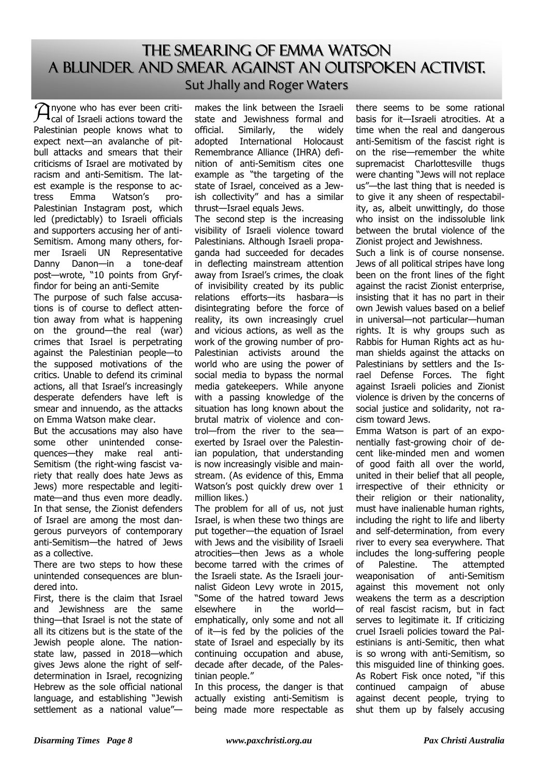# The Smearing of Emma Watson A blunder and smear against an outspoken activist. Sut Jhally and Roger Waters

 $\mathcal{P}_{\text{cal}}$  of Israeli actions toward the Palestinian people knows what to expect next—an avalanche of pitbull attacks and smears that their criticisms of Israel are motivated by racism and anti-Semitism. The latest example is the response to actress Emma Watson's pro-Palestinian Instagram post, which led (predictably) to Israeli officials and supporters accusing her of anti-Semitism. Among many others, former Israeli UN Representative Danny Danon—in a tone-deaf post—wrote, "10 points from Gryffindor for being an anti-Semite

The purpose of such false accusations is of course to deflect attention away from what is happening on the ground—the real (war) crimes that Israel is perpetrating against the Palestinian people—to the supposed motivations of the critics. Unable to defend its criminal actions, all that Israel's increasingly desperate defenders have left is smear and innuendo, as the attacks on Emma Watson make clear.

But the accusations may also have some other unintended consequences—they make real anti-Semitism (the right-wing fascist variety that really does hate Jews as Jews) more respectable and legitimate—and thus even more deadly. In that sense, the Zionist defenders of Israel are among the most dangerous purveyors of contemporary anti-Semitism—the hatred of Jews as a collective.

There are two steps to how these unintended consequences are blundered into.

First, there is the claim that Israel and Jewishness are the same thing—that Israel is not the state of all its citizens but is the state of the Jewish people alone. The nationstate law, passed in 2018—which gives Jews alone the right of selfdetermination in Israel, recognizing Hebrew as the sole official national language, and establishing "Jewish settlement as a national value"—

makes the link between the Israeli state and Jewishness formal and official. Similarly, the widely adopted International Holocaust Remembrance Alliance (IHRA) definition of anti-Semitism cites one example as "the targeting of the state of Israel, conceived as a Jewish collectivity" and has a similar thrust—Israel equals Jews.

The second step is the increasing visibility of Israeli violence toward Palestinians. Although Israeli propaganda had succeeded for decades in deflecting mainstream attention away from Israel's crimes, the cloak of invisibility created by its public relations efforts—its hasbara—is disintegrating before the force of reality, its own increasingly cruel and vicious actions, as well as the work of the growing number of pro-Palestinian activists around the world who are using the power of social media to bypass the normal media gatekeepers. While anyone with a passing knowledge of the situation has long known about the brutal matrix of violence and control—from the river to the sea exerted by Israel over the Palestinian population, that understanding is now increasingly visible and mainstream. (As evidence of this, Emma Watson's post quickly drew over 1 million likes.)

The problem for all of us, not just Israel, is when these two things are put together—the equation of Israel with Jews and the visibility of Israeli atrocities—then Jews as a whole become tarred with the crimes of the Israeli state. As the Israeli journalist Gideon Levy wrote in 2015, "Some of the hatred toward Jews elsewhere in the world emphatically, only some and not all of it—is fed by the policies of the state of Israel and especially by its continuing occupation and abuse, decade after decade, of the Palestinian people."

In this process, the danger is that actually existing anti-Semitism is being made more respectable as

there seems to be some rational basis for it—Israeli atrocities. At a time when the real and dangerous anti-Semitism of the fascist right is on the rise—remember the white supremacist Charlottesville thugs were chanting "Jews will not replace us"—the last thing that is needed is to give it any sheen of respectability, as, albeit unwittingly, do those who insist on the indissoluble link between the brutal violence of the Zionist project and Jewishness.

Such a link is of course nonsense. Jews of all political stripes have long been on the front lines of the fight against the racist Zionist enterprise, insisting that it has no part in their own Jewish values based on a belief in universal—not particular—human rights. It is why groups such as Rabbis for Human Rights act as human shields against the attacks on Palestinians by settlers and the Israel Defense Forces. The fight against Israeli policies and Zionist violence is driven by the concerns of social justice and solidarity, not racism toward Jews.

Emma Watson is part of an exponentially fast-growing choir of decent like-minded men and women of good faith all over the world, united in their belief that all people, irrespective of their ethnicity or their religion or their nationality, must have inalienable human rights, including the right to life and liberty and self-determination, from every river to every sea everywhere. That includes the long-suffering people of Palestine. The attempted weaponisation of anti-Semitism against this movement not only weakens the term as a description of real fascist racism, but in fact serves to legitimate it. If criticizing cruel Israeli policies toward the Palestinians is anti-Semitic, then what is so wrong with anti-Semitism, so this misguided line of thinking goes. As Robert Fisk once noted, "if this continued campaign of abuse against decent people, trying to shut them up by falsely accusing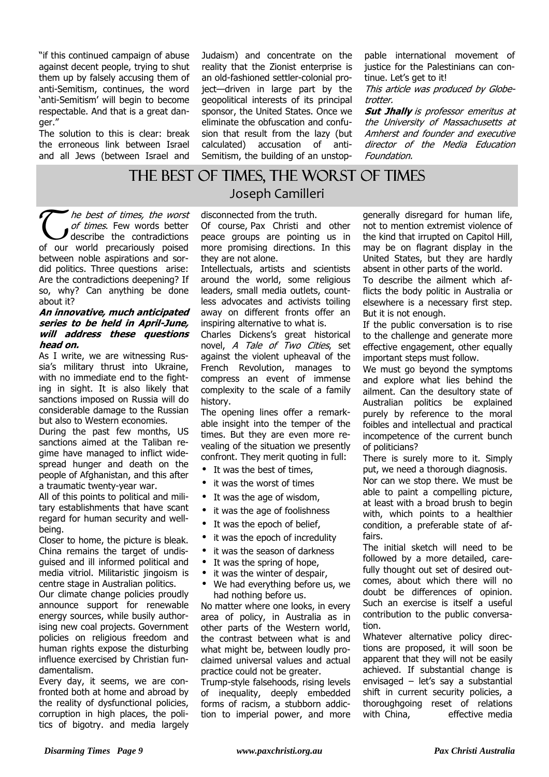"if this continued campaign of abuse against decent people, trying to shut them up by falsely accusing them of anti-Semitism, continues, the word 'anti-Semitism' will begin to become respectable. And that is a great danger."

The solution to this is clear: break the erroneous link between Israel and all Jews (between Israel and Judaism) and concentrate on the reality that the Zionist enterprise is an old-fashioned settler-colonial project—driven in large part by the geopolitical interests of its principal sponsor, the United States. Once we eliminate the obfuscation and confusion that result from the lazy (but calculated) accusation of anti-Semitism, the building of an unstop-

pable international movement of justice for the Palestinians can continue. Let's get to it!

This article was produced by Globetrotter.

**Sut Jhally** is professor emeritus at the University of Massachusetts at Amherst and founder and executive director of the Media Education Foundation.

# THE BEST OF TIMES, THE WORST OF TIMES Joseph Camilleri

 $\widetilde{\mathbb{C}}$ he best of times, the worst of times. Few words better describe the contradictions of our world precariously poised between noble aspirations and sordid politics. Three questions arise: Are the contradictions deepening? If so, why? Can anything be done about it?

### **An innovative, much anticipated series to be held in April-June, will address these questions head on.**

As I write, we are witnessing Russia's military thrust into Ukraine, with no immediate end to the fighting in sight. It is also likely that sanctions imposed on Russia will do considerable damage to the Russian but also to Western economies.

During the past few months, US sanctions aimed at the Taliban regime have managed to inflict widespread hunger and death on the people of Afghanistan, and this after a traumatic twenty-year war.

All of this points to political and military establishments that have scant regard for human security and wellbeing.

Closer to home, the picture is bleak. China remains the target of undisguised and ill informed political and media vitriol. Militaristic jingoism is centre stage in Australian politics.

Our climate change policies proudly announce support for renewable energy sources, while busily authorising new coal projects. Government policies on religious freedom and human rights expose the disturbing influence exercised by Christian fundamentalism.

Every day, it seems, we are confronted both at home and abroad by the reality of dysfunctional policies, corruption in high places, the politics of bigotry. and media largely

# disconnected from the truth.

Of course, Pax Christi and other peace groups are pointing us in more promising directions. In this they are not alone.

Intellectuals, artists and scientists around the world, some religious leaders, small media outlets, countless advocates and activists toiling away on different fronts offer an inspiring alternative to what is.

Charles Dickens's great historical novel, A Tale of Two Cities, set against the violent upheaval of the French Revolution, manages to compress an event of immense complexity to the scale of a family history.

The opening lines offer a remarkable insight into the temper of the times. But they are even more revealing of the situation we presently confront. They merit quoting in full:

- It was the best of times,
- it was the worst of times
- It was the age of wisdom,
- it was the age of foolishness
- It was the epoch of belief,
- it was the epoch of incredulity
- it was the season of darkness
- It was the spring of hope,
- it was the winter of despair,
- We had everything before us, we had nothing before us.

No matter where one looks, in every area of policy, in Australia as in other parts of the Western world, the contrast between what is and what might be, between loudly proclaimed universal values and actual practice could not be greater.

Trump-style falsehoods, rising levels of inequality, deeply embedded forms of racism, a stubborn addiction to imperial power, and more generally disregard for human life, not to mention extremist violence of the kind that irrupted on Capitol Hill, may be on flagrant display in the United States, but they are hardly absent in other parts of the world.

To describe the ailment which afflicts the body politic in Australia or elsewhere is a necessary first step. But it is not enough.

If the public conversation is to rise to the challenge and generate more effective engagement, other equally important steps must follow.

We must go beyond the symptoms and explore what lies behind the ailment. Can the desultory state of Australian politics be explained purely by reference to the moral foibles and intellectual and practical incompetence of the current bunch of politicians?

There is surely more to it. Simply put, we need a thorough diagnosis.

Nor can we stop there. We must be able to paint a compelling picture, at least with a broad brush to begin with, which points to a healthier condition, a preferable state of affairs.

The initial sketch will need to be followed by a more detailed, carefully thought out set of desired outcomes, about which there will no doubt be differences of opinion. Such an exercise is itself a useful contribution to the public conversation.

Whatever alternative policy directions are proposed, it will soon be apparent that they will not be easily achieved. If substantial change is envisaged – let's say a substantial shift in current security policies, a thoroughgoing reset of relations with China, effective media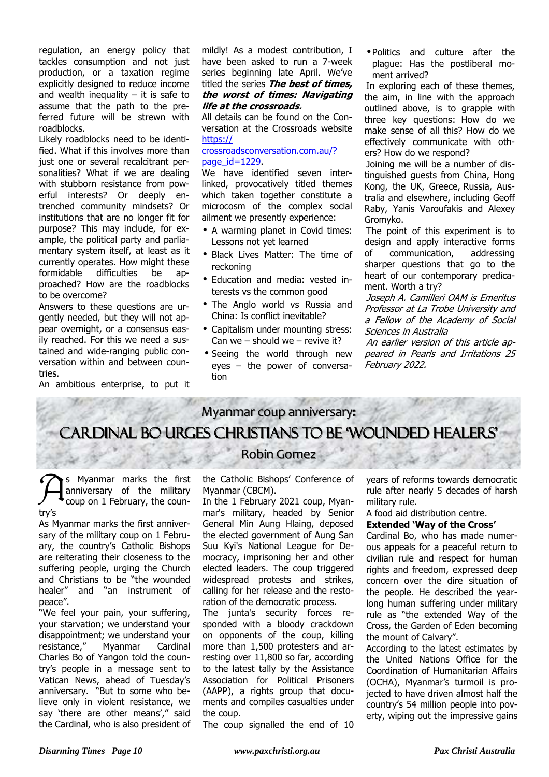regulation, an energy policy that tackles consumption and not just production, or a taxation regime explicitly designed to reduce income and wealth inequality  $-$  it is safe to assume that the path to the preferred future will be strewn with roadblocks.

Likely roadblocks need to be identified. What if this involves more than just one or several recalcitrant personalities? What if we are dealing with stubborn resistance from powerful interests? Or deeply entrenched community mindsets? Or institutions that are no longer fit for purpose? This may include, for example, the political party and parliamentary system itself, at least as it currently operates. How might these formidable difficulties be approached? How are the roadblocks to be overcome?

Answers to these questions are urgently needed, but they will not appear overnight, or a consensus easily reached. For this we need a sustained and wide-ranging public conversation within and between countries.

An ambitious enterprise, to put it

mildly! As a modest contribution, I have been asked to run a 7-week series beginning late April. We've titled the series **The best of times, the worst of times: Navigating life at the crossroads.** 

All details can be found on the Conversation at the Crossroads website https://

## crossroadsconversation.com.au/? page $id=1229$ .

We have identified seven interlinked, provocatively titled themes which taken together constitute a microcosm of the complex social ailment we presently experience:

- A warming planet in Covid times: Lessons not yet learned
- Black Lives Matter: The time of reckoning
- Education and media: vested interests vs the common good
- The Anglo world vs Russia and China: Is conflict inevitable?
- Capitalism under mounting stress: Can we – should we – revive it?
- Seeing the world through new eyes – the power of conversation

• Politics and culture after the plague: Has the postliberal moment arrived?

In exploring each of these themes. the aim, in line with the approach outlined above, is to grapple with three key questions: How do we make sense of all this? How do we effectively communicate with others? How do we respond?

Joining me will be a number of distinguished guests from China, Hong Kong, the UK, Greece, Russia, Australia and elsewhere, including Geoff Raby, Yanis Varoufakis and Alexey Gromyko.

The point of this experiment is to design and apply interactive forms of communication, addressing sharper questions that go to the heart of our contemporary predicament. Worth a try?

Joseph A. Camilleri OAM is Emeritus Professor at La Trobe University and a Fellow of the Academy of Social Sciences in Australia

An earlier version of this article appeared in Pearls and Irritations 25 February 2022.

# Myanmar coup anniversary**:**

# Cardinal Bo urges Christians to be 'wounded healers'

 $\mathcal{\widehat{A}}$ s Myanmar marks the first anniversary of the military coup on 1 February, the country's

As Myanmar marks the first anniversary of the military coup on 1 February, the country's Catholic Bishops are reiterating their closeness to the suffering people, urging the Church and Christians to be "the wounded healer" and "an instrument of peace".

"We feel your pain, your suffering, your starvation; we understand your disappointment; we understand your resistance," Myanmar Cardinal Charles Bo of Yangon told the country's people in a message sent to Vatican News, ahead of Tuesday's anniversary. "But to some who believe only in violent resistance, we say 'there are other means'," said the Cardinal, who is also president of

# Robin Gomez

the Catholic Bishops' Conference of Myanmar (CBCM).

In the 1 February 2021 coup, Myanmar's military, headed by Senior General Min Aung Hlaing, deposed the elected government of Aung San Suu Kyi's National League for Democracy, imprisoning her and other elected leaders. The coup triggered widespread protests and strikes, calling for her release and the restoration of the democratic process.

The junta's security forces responded with a bloody crackdown on opponents of the coup, killing more than 1,500 protesters and arresting over 11,800 so far, according to the latest tally by the Assistance Association for Political Prisoners (AAPP), a rights group that documents and compiles casualties under the coup.

The coup signalled the end of 10

years of reforms towards democratic rule after nearly 5 decades of harsh military rule.

A food aid distribution centre.

## **Extended 'Way of the Cross'**

Cardinal Bo, who has made numerous appeals for a peaceful return to civilian rule and respect for human rights and freedom, expressed deep concern over the dire situation of the people. He described the yearlong human suffering under military rule as "the extended Way of the Cross, the Garden of Eden becoming the mount of Calvary".

According to the latest estimates by the United Nations Office for the Coordination of Humanitarian Affairs (OCHA), Myanmar's turmoil is projected to have driven almost half the country's 54 million people into poverty, wiping out the impressive gains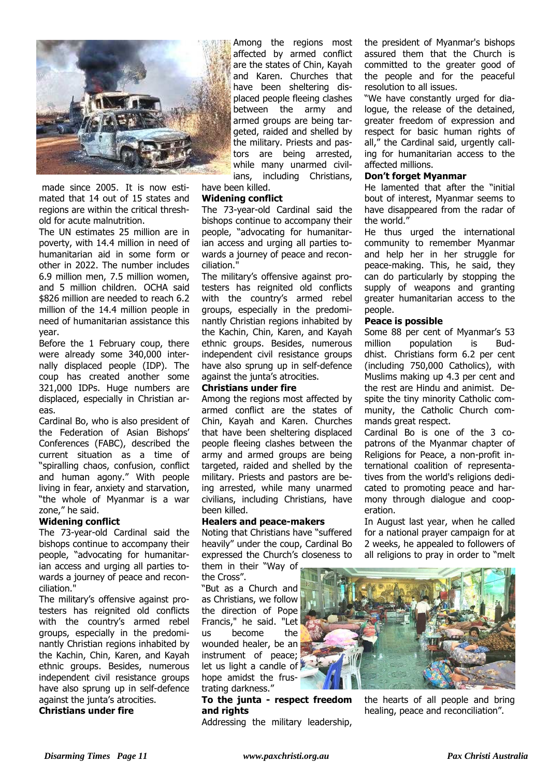

 made since 2005.  It is now estimated that 14 out of 15 states and regions are within the critical threshold for acute malnutrition. 

The UN estimates 25 million are in poverty, with 14.4 million in need of humanitarian aid in some form or other in 2022. The number includes 6.9 million men, 7.5 million women, and 5 million children.  OCHA said \$826 million are needed to reach 6.2 million of the 14.4 million people in need of humanitarian assistance this year.

Before the 1 February coup, there were already some 340,000 internally displaced people (IDP). The coup has created another some 321,000 IDPs. Huge numbers are displaced, especially in Christian areas.

Cardinal Bo, who is also president of the Federation of Asian Bishops' Conferences (FABC), described the current situation as a time of "spiralling chaos, confusion, conflict and human agony." With people living in fear, anxiety and starvation, "the whole of Myanmar is a war zone," he said.

## **Widening conflict**

The 73-year-old Cardinal said the bishops continue to accompany their people, "advocating for humanitarian access and urging all parties towards a journey of peace and reconciliation."

The military's offensive against protesters has reignited old conflicts with the country's armed rebel groups, especially in the predominantly Christian regions inhabited by the Kachin, Chin, Karen, and Kayah ethnic groups. Besides, numerous independent civil resistance groups have also sprung up in self-defence against the junta's atrocities.

**Christians under fire**

Among the regions most affected by armed conflict are the states of Chin, Kayah and Karen. Churches that have been sheltering displaced people fleeing clashes between the army and armed groups are being targeted, raided and shelled by the military. Priests and pastors are being arrested, while many unarmed civilians, including Christians, have been killed.

# **Widening conflict**

The 73-year-old Cardinal said the bishops continue to accompany their people, "advocating for humanitarian access and urging all parties towards a journey of peace and reconciliation."

The military's offensive against protesters has reignited old conflicts with the country's armed rebel groups, especially in the predominantly Christian regions inhabited by the Kachin, Chin, Karen, and Kayah ethnic groups. Besides, numerous independent civil resistance groups have also sprung up in self-defence against the junta's atrocities.

## **Christians under fire**

Among the regions most affected by armed conflict are the states of Chin, Kayah and Karen. Churches that have been sheltering displaced people fleeing clashes between the army and armed groups are being targeted, raided and shelled by the military. Priests and pastors are being arrested, while many unarmed civilians, including Christians, have been killed.

## **Healers and peace-makers**

Noting that Christians have "suffered heavily" under the coup, Cardinal Bo expressed the Church's closeness to them in their "Way of

the Cross".

"But as a Church and as Christians, we follow the direction of Pope Francis," he said. "Let us become the wounded healer, be an instrument of peace; let us light a candle of hope amidst the frustrating darkness."

**To the junta - respect freedom and rights**

Addressing the military leadership,

the president of Myanmar's bishops assured them that the Church is committed to the greater good of the people and for the peaceful resolution to all issues.

"We have constantly urged for dialogue, the release of the detained, greater freedom of expression and respect for basic human rights of all," the Cardinal said, urgently calling for humanitarian access to the affected millions.

## **Don't forget Myanmar**

He lamented that after the "initial bout of interest, Myanmar seems to have disappeared from the radar of the world."

He thus urged the international community to remember Myanmar and help her in her struggle for peace-making. This, he said, they can do particularly by stopping the supply of weapons and granting greater humanitarian access to the people.

### **Peace is possible**

Some 88 per cent of Myanmar's 53 million population is Buddhist. Christians form 6.2 per cent (including 750,000 Catholics), with Muslims making up 4.3 per cent and the rest are Hindu and animist. Despite the tiny minority Catholic community, the Catholic Church commands great respect.

Cardinal Bo is one of the 3 copatrons of the Myanmar chapter of Religions for Peace, a non-profit international coalition of representatives from the world's religions dedicated to promoting peace and harmony through dialogue and cooperation.

In August last year, when he called for a national prayer campaign for at 2 weeks, he appealed to followers of all religions to pray in order to "melt



the hearts of all people and bring healing, peace and reconciliation".